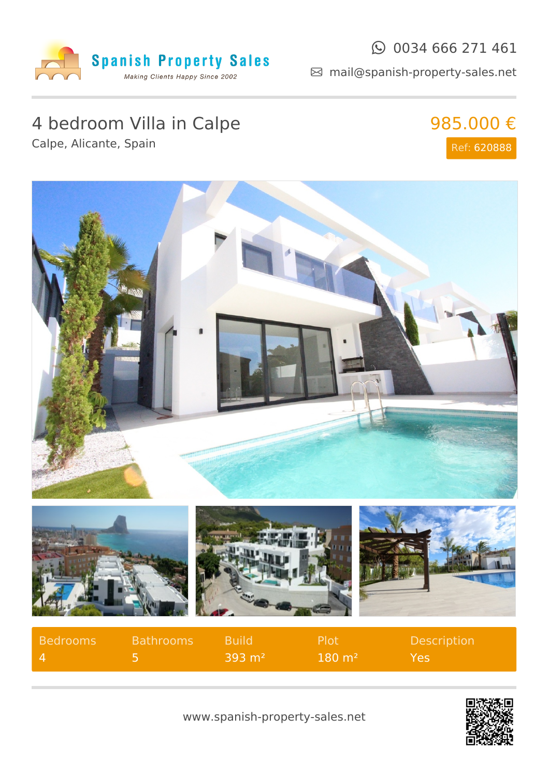

#### $\odot$  0034 666 271 461

mail@spanish-property-sales.net

## 4 bedroom Villa in Calpe

Calpe, Alicante, Spain

## 985.000 € Ref: 620888





| Bedrooms | <b>Bathrooms</b> | <b>Build</b>      | <b>Plot</b>       | <b>Description</b> |
|----------|------------------|-------------------|-------------------|--------------------|
| $\Delta$ |                  | $393 \text{ m}^2$ | $180 \text{ m}^2$ | Yes.               |

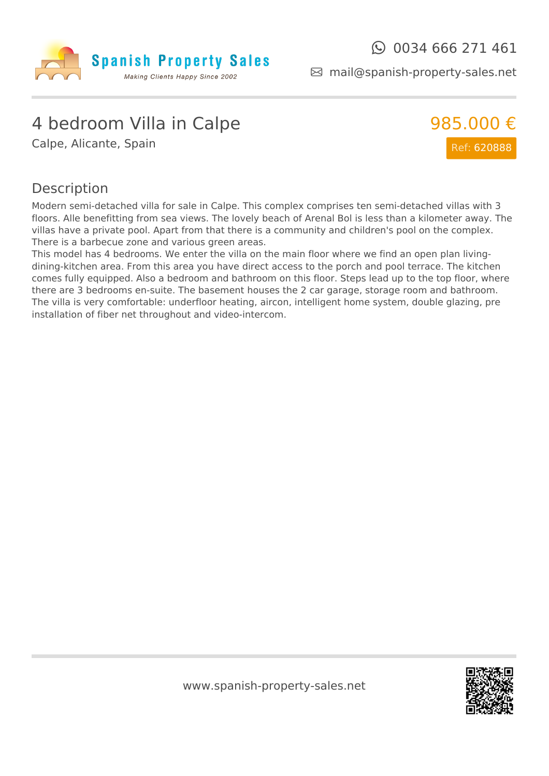

mail@spanish-property-sales.net

## 4 bedroom Villa in Calpe

Calpe, Alicante, Spain



#### Description

Modern semi-detached villa for sale in Calpe. This complex comprises ten semi-detached villas with 3 floors. Alle benefitting from sea views. The lovely beach of Arenal Bol is less than a kilometer away. The villas have a private pool. Apart from that there is a community and children's pool on the complex. There is a barbecue zone and various green areas.

This model has 4 bedrooms. We enter the villa on the main floor where we find an open plan livingdining-kitchen area. From this area you have direct access to the porch and pool terrace. The kitchen comes fully equipped. Also a bedroom and bathroom on this floor. Steps lead up to the top floor, where there are 3 bedrooms en-suite. The basement houses the 2 car garage, storage room and bathroom. The villa is very comfortable: underfloor heating, aircon, intelligent home system, double glazing, pre installation of fiber net throughout and video-intercom.